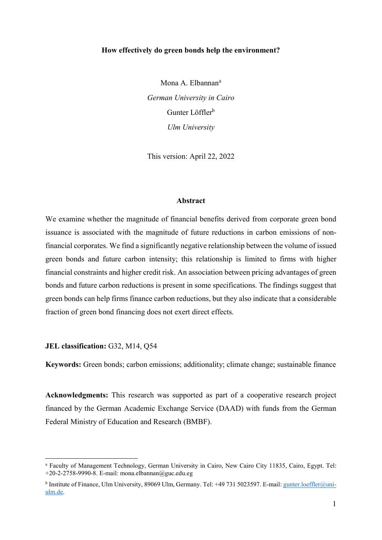### How effectively do green bonds help the environment?

Mona A. Elbannan<sup>a</sup> German University in Cairo Gunter Löffler<sup>b</sup> Ulm University

This version: April 22, 2022

### Abstract

We examine whether the magnitude of financial benefits derived from corporate green bond issuance is associated with the magnitude of future reductions in carbon emissions of nonfinancial corporates. We find a significantly negative relationship between the volume of issued green bonds and future carbon intensity; this relationship is limited to firms with higher financial constraints and higher credit risk. An association between pricing advantages of green bonds and future carbon reductions is present in some specifications. The findings suggest that green bonds can help firms finance carbon reductions, but they also indicate that a considerable fraction of green bond financing does not exert direct effects.

## JEL classification: G32, M14, Q54

 $\overline{a}$ 

Keywords: Green bonds; carbon emissions; additionality; climate change; sustainable finance

Acknowledgments: This research was supported as part of a cooperative research project financed by the German Academic Exchange Service (DAAD) with funds from the German Federal Ministry of Education and Research (BMBF).

a Faculty of Management Technology, German University in Cairo, New Cairo City 11835, Cairo, Egypt. Tel: +20-2-2758-9990-8. E-mail: mona.elbannan@guc.edu.eg

<sup>&</sup>lt;sup>b</sup> Institute of Finance, Ulm University, 89069 Ulm, Germany. Tel: +49 731 5023597. E-mail: gunter.loeffler@uniulm.de.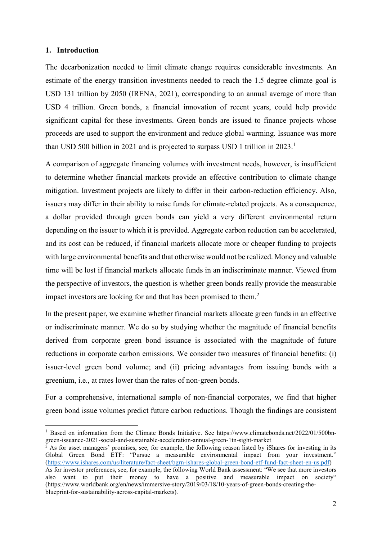## 1. Introduction

 $\overline{a}$ 

The decarbonization needed to limit climate change requires considerable investments. An estimate of the energy transition investments needed to reach the 1.5 degree climate goal is USD 131 trillion by 2050 (IRENA, 2021), corresponding to an annual average of more than USD 4 trillion. Green bonds, a financial innovation of recent years, could help provide significant capital for these investments. Green bonds are issued to finance projects whose proceeds are used to support the environment and reduce global warming. Issuance was more than USD 500 billion in 2021 and is projected to surpass USD 1 trillion in  $2023$ .<sup>1</sup>

A comparison of aggregate financing volumes with investment needs, however, is insufficient to determine whether financial markets provide an effective contribution to climate change mitigation. Investment projects are likely to differ in their carbon-reduction efficiency. Also, issuers may differ in their ability to raise funds for climate-related projects. As a consequence, a dollar provided through green bonds can yield a very different environmental return depending on the issuer to which it is provided. Aggregate carbon reduction can be accelerated, and its cost can be reduced, if financial markets allocate more or cheaper funding to projects with large environmental benefits and that otherwise would not be realized. Money and valuable time will be lost if financial markets allocate funds in an indiscriminate manner. Viewed from the perspective of investors, the question is whether green bonds really provide the measurable impact investors are looking for and that has been promised to them.<sup>2</sup>

In the present paper, we examine whether financial markets allocate green funds in an effective or indiscriminate manner. We do so by studying whether the magnitude of financial benefits derived from corporate green bond issuance is associated with the magnitude of future reductions in corporate carbon emissions. We consider two measures of financial benefits: (i) issuer-level green bond volume; and (ii) pricing advantages from issuing bonds with a greenium, i.e., at rates lower than the rates of non-green bonds.

For a comprehensive, international sample of non-financial corporates, we find that higher green bond issue volumes predict future carbon reductions. Though the findings are consistent

<sup>&</sup>lt;sup>1</sup> Based on information from the Climate Bonds Initiative. See https://www.climatebonds.net/2022/01/500bngreen-issuance-2021-social-and-sustainable-acceleration-annual-green-1tn-sight-market

<sup>&</sup>lt;sup>2</sup> As for asset managers' promises, see, for example, the following reason listed by iShares for investing in its Global Green Bond ETF: "Pursue a measurable environmental impact from your investment." (https://www.ishares.com/us/literature/fact-sheet/bgrn-ishares-global-green-bond-etf-fund-fact-sheet-en-us.pdf) As for investor preferences, see, for example, the following World Bank assessment: "We see that more investors also want to put their money to have a positive and measurable impact on society" (https://www.worldbank.org/en/news/immersive-story/2019/03/18/10-years-of-green-bonds-creating-theblueprint-for-sustainability-across-capital-markets).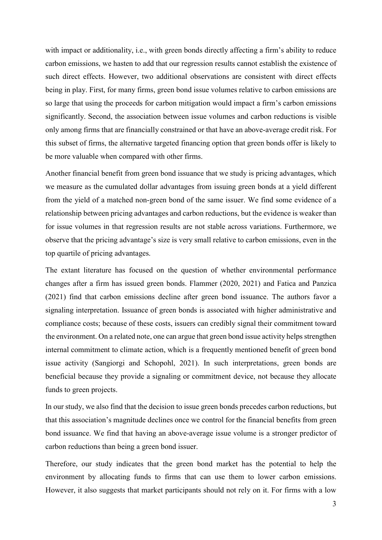with impact or additionality, i.e., with green bonds directly affecting a firm's ability to reduce carbon emissions, we hasten to add that our regression results cannot establish the existence of such direct effects. However, two additional observations are consistent with direct effects being in play. First, for many firms, green bond issue volumes relative to carbon emissions are so large that using the proceeds for carbon mitigation would impact a firm's carbon emissions significantly. Second, the association between issue volumes and carbon reductions is visible only among firms that are financially constrained or that have an above-average credit risk. For this subset of firms, the alternative targeted financing option that green bonds offer is likely to be more valuable when compared with other firms.

Another financial benefit from green bond issuance that we study is pricing advantages, which we measure as the cumulated dollar advantages from issuing green bonds at a yield different from the yield of a matched non-green bond of the same issuer. We find some evidence of a relationship between pricing advantages and carbon reductions, but the evidence is weaker than for issue volumes in that regression results are not stable across variations. Furthermore, we observe that the pricing advantage's size is very small relative to carbon emissions, even in the top quartile of pricing advantages.

The extant literature has focused on the question of whether environmental performance changes after a firm has issued green bonds. Flammer (2020, 2021) and Fatica and Panzica (2021) find that carbon emissions decline after green bond issuance. The authors favor a signaling interpretation. Issuance of green bonds is associated with higher administrative and compliance costs; because of these costs, issuers can credibly signal their commitment toward the environment. On a related note, one can argue that green bond issue activity helps strengthen internal commitment to climate action, which is a frequently mentioned benefit of green bond issue activity (Sangiorgi and Schopohl, 2021). In such interpretations, green bonds are beneficial because they provide a signaling or commitment device, not because they allocate funds to green projects.

In our study, we also find that the decision to issue green bonds precedes carbon reductions, but that this association's magnitude declines once we control for the financial benefits from green bond issuance. We find that having an above-average issue volume is a stronger predictor of carbon reductions than being a green bond issuer.

Therefore, our study indicates that the green bond market has the potential to help the environment by allocating funds to firms that can use them to lower carbon emissions. However, it also suggests that market participants should not rely on it. For firms with a low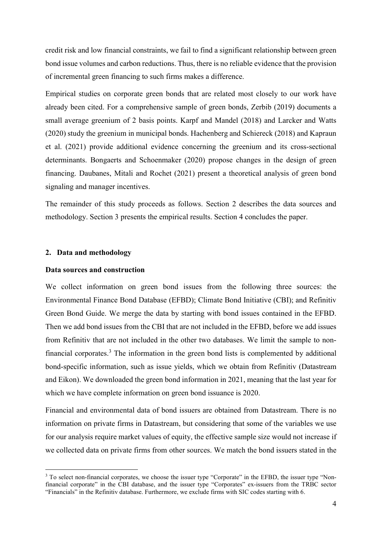credit risk and low financial constraints, we fail to find a significant relationship between green bond issue volumes and carbon reductions. Thus, there is no reliable evidence that the provision of incremental green financing to such firms makes a difference.

Empirical studies on corporate green bonds that are related most closely to our work have already been cited. For a comprehensive sample of green bonds, Zerbib (2019) documents a small average greenium of 2 basis points. Karpf and Mandel (2018) and Larcker and Watts (2020) study the greenium in municipal bonds. Hachenberg and Schiereck (2018) and Kapraun et al. (2021) provide additional evidence concerning the greenium and its cross-sectional determinants. Bongaerts and Schoenmaker (2020) propose changes in the design of green financing. Daubanes, Mitali and Rochet (2021) present a theoretical analysis of green bond signaling and manager incentives.

The remainder of this study proceeds as follows. Section 2 describes the data sources and methodology. Section 3 presents the empirical results. Section 4 concludes the paper.

### 2. Data and methodology

 $\overline{a}$ 

## Data sources and construction

We collect information on green bond issues from the following three sources: the Environmental Finance Bond Database (EFBD); Climate Bond Initiative (CBI); and Refinitiv Green Bond Guide. We merge the data by starting with bond issues contained in the EFBD. Then we add bond issues from the CBI that are not included in the EFBD, before we add issues from Refinitiv that are not included in the other two databases. We limit the sample to nonfinancial corporates.<sup>3</sup> The information in the green bond lists is complemented by additional bond-specific information, such as issue yields, which we obtain from Refinitiv (Datastream and Eikon). We downloaded the green bond information in 2021, meaning that the last year for which we have complete information on green bond issuance is 2020.

Financial and environmental data of bond issuers are obtained from Datastream. There is no information on private firms in Datastream, but considering that some of the variables we use for our analysis require market values of equity, the effective sample size would not increase if we collected data on private firms from other sources. We match the bond issuers stated in the

<sup>&</sup>lt;sup>3</sup> To select non-financial corporates, we choose the issuer type "Corporate" in the EFBD, the issuer type "Nonfinancial corporate" in the CBI database, and the issuer type "Corporates" ex-issuers from the TRBC sector "Financials" in the Refinitiv database. Furthermore, we exclude firms with SIC codes starting with 6.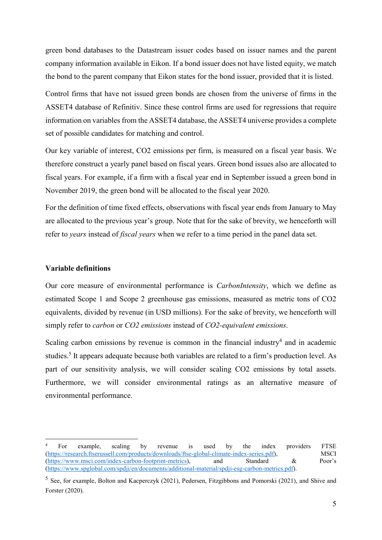green bond databases to the Datastream issuer codes based on issuer names and the parent company information available in Eikon. If a bond issuer does not have listed equity, we match the bond to the parent company that Eikon states for the bond issuer, provided that it is listed.

Control firms that have not issued green bonds are chosen from the universe of firms in the ASSET4 database of Refinitiv. Since these control firms are used for regressions that require information on variables from the ASSET4 database, the ASSET4 universe provides a complete set of possible candidates for matching and control.

Our key variable of interest, CO2 emissions per firm, is measured on a fiscal year basis. We therefore construct a yearly panel based on fiscal years. Green bond issues also are allocated to fiscal years. For example, if a firm with a fiscal year end in September issued a green bond in November 2019, the green bond will be allocated to the fiscal year 2020.

For the definition of time fixed effects, observations with fiscal year ends from January to May are allocated to the previous year's group. Note that for the sake of brevity, we henceforth will refer to *years* instead of *fiscal years* when we refer to a time period in the panel data set.

### Variable definitions

 $\overline{a}$ 

Our core measure of environmental performance is CarbonIntensity, which we define as estimated Scope 1 and Scope 2 greenhouse gas emissions, measured as metric tons of CO2 equivalents, divided by revenue (in USD millions). For the sake of brevity, we henceforth will simply refer to *carbon* or *CO2* emissions instead of *CO2-equivalent emissions*.

Scaling carbon emissions by revenue is common in the financial industry<sup>4</sup> and in academic studies.<sup>5</sup> It appears adequate because both variables are related to a firm's production level. As part of our sensitivity analysis, we will consider scaling CO2 emissions by total assets. Furthermore, we will consider environmental ratings as an alternative measure of environmental performance.

<sup>4</sup> For example, scaling by revenue is used by the index providers FTSE (https://research.ftserussell.com/products/downloads/ftse-global-climate-index-series.pdf), MSCI (https://www.msci.com/index-carbon-footprint-metrics), and Standard & Poor's (https://www.spglobal.com/spdji/en/documents/additional-material/spdji-esg-carbon-metrics.pdf).

<sup>5</sup> See, for example, Bolton and Kacperczyk (2021), Pedersen, Fitzgibbons and Pomorski (2021), and Shive and Forster (2020).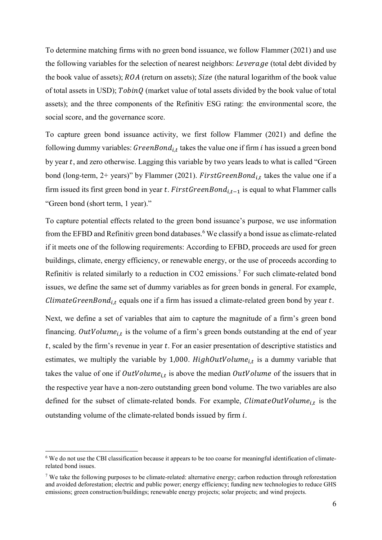To determine matching firms with no green bond issuance, we follow Flammer (2021) and use the following variables for the selection of nearest neighbors: Leverage (total debt divided by the book value of assets);  $ROA$  (return on assets);  $Size$  (the natural logarithm of the book value of total assets in USD);  $TobinQ$  (market value of total assets divided by the book value of total assets); and the three components of the Refinitiv ESG rating: the environmental score, the social score, and the governance score.

To capture green bond issuance activity, we first follow Flammer (2021) and define the following dummy variables:  $GreenBond_{i,t}$  takes the value one if firm *i* has issued a green bond by year  $t$ , and zero otherwise. Lagging this variable by two years leads to what is called "Green" bond (long-term, 2+ years)" by Flammer (2021).  $FirstGreenBond_{i,t}$  takes the value one if a firm issued its first green bond in year t. First Green Bond<sub>it-1</sub> is equal to what Flammer calls "Green bond (short term, 1 year)."

To capture potential effects related to the green bond issuance's purpose, we use information from the EFBD and Refinitiv green bond databases.<sup>6</sup> We classify a bond issue as climate-related if it meets one of the following requirements: According to EFBD, proceeds are used for green buildings, climate, energy efficiency, or renewable energy, or the use of proceeds according to Refinitiv is related similarly to a reduction in CO2 emissions.<sup>7</sup> For such climate-related bond issues, we define the same set of dummy variables as for green bonds in general. For example, *ClimateGreenBond*<sub>i,t</sub> equals one if a firm has issued a climate-related green bond by year  $t$ .

Next, we define a set of variables that aim to capture the magnitude of a firm's green bond financing. OutVolume<sub>i,t</sub> is the volume of a firm's green bonds outstanding at the end of year  $t$ , scaled by the firm's revenue in year  $t$ . For an easier presentation of descriptive statistics and estimates, we multiply the variable by 1,000.  $HighOutVolume_{i,t}$  is a dummy variable that takes the value of one if  $OutVolume_{i,t}$  is above the median  $OutVolume$  of the issuers that in the respective year have a non-zero outstanding green bond volume. The two variables are also defined for the subset of climate-related bonds. For example,  $ClimateOutVolume_{i,t}$  is the outstanding volume of the climate-related bonds issued by firm *i*.

 $\overline{a}$ 

<sup>&</sup>lt;sup>6</sup> We do not use the CBI classification because it appears to be too coarse for meaningful identification of climaterelated bond issues.

<sup>&</sup>lt;sup>7</sup> We take the following purposes to be climate-related: alternative energy; carbon reduction through reforestation and avoided deforestation; electric and public power; energy efficiency; funding new technologies to reduce GHS emissions; green construction/buildings; renewable energy projects; solar projects; and wind projects.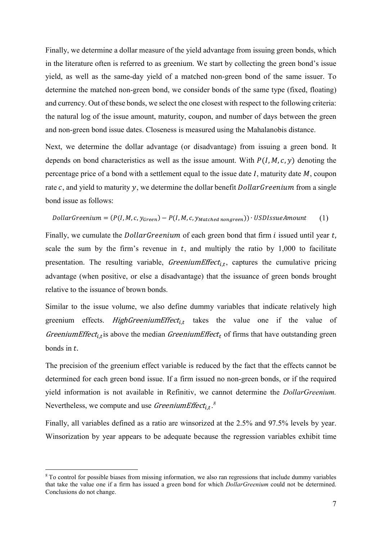Finally, we determine a dollar measure of the yield advantage from issuing green bonds, which in the literature often is referred to as greenium. We start by collecting the green bond's issue yield, as well as the same-day yield of a matched non-green bond of the same issuer. To determine the matched non-green bond, we consider bonds of the same type (fixed, floating) and currency. Out of these bonds, we select the one closest with respect to the following criteria: the natural log of the issue amount, maturity, coupon, and number of days between the green and non-green bond issue dates. Closeness is measured using the Mahalanobis distance.

Next, we determine the dollar advantage (or disadvantage) from issuing a green bond. It depends on bond characteristics as well as the issue amount. With  $P(I, M, c, y)$  denoting the percentage price of a bond with a settlement equal to the issue date  $I$ , maturity date  $M$ , coupon rate  $c$ , and yield to maturity  $y$ , we determine the dollar benefit *Dollar Greenium* from a single bond issue as follows:

$$
DollarGreenium = (P(I, M, c, y_{Green}) - P(I, M, c, y_{Matched \ nongreen})) \cdot USD IssueAmount \qquad (1)
$$

Finally, we cumulate the *DollarGreenium* of each green bond that firm  $i$  issued until year  $t$ . scale the sum by the firm's revenue in  $t$ , and multiply the ratio by 1,000 to facilitate presentation. The resulting variable, *GreeniumEffect<sub>i,t</sub>*, captures the cumulative pricing advantage (when positive, or else a disadvantage) that the issuance of green bonds brought relative to the issuance of brown bonds.

Similar to the issue volume, we also define dummy variables that indicate relatively high greenium effects. *HighGreeniumEffect<sub>i,t</sub>* takes the value one if the value of *GreeniumEffect<sub>i,t</sub>* is above the median *GreeniumEffect*<sub>t</sub> of firms that have outstanding green bonds in  $t$ .

The precision of the greenium effect variable is reduced by the fact that the effects cannot be determined for each green bond issue. If a firm issued no non-green bonds, or if the required yield information is not available in Refinitiv, we cannot determine the DollarGreenium. Nevertheless, we compute and use *GreeniumEffect*<sub>i,t</sub>.<sup>8</sup>

Finally, all variables defined as a ratio are winsorized at the 2.5% and 97.5% levels by year. Winsorization by year appears to be adequate because the regression variables exhibit time

 $\overline{a}$ 

<sup>8</sup> To control for possible biases from missing information, we also ran regressions that include dummy variables that take the value one if a firm has issued a green bond for which *DollarGreenium* could not be determined. Conclusions do not change.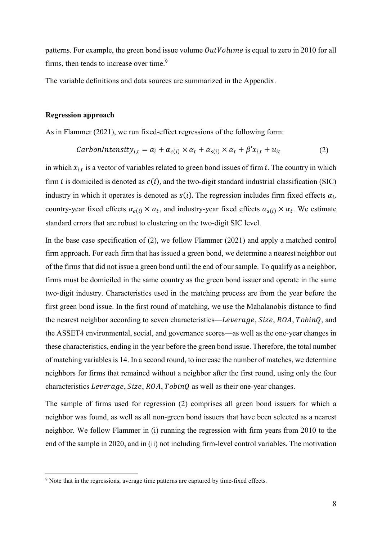patterns. For example, the green bond issue volume  $OutVolume$  is equal to zero in 2010 for all firms, then tends to increase over time.<sup>9</sup>

The variable definitions and data sources are summarized in the Appendix.

### Regression approach

 $\overline{a}$ 

As in Flammer (2021), we run fixed-effect regressions of the following form:

$$
CarbonIntensity_{i,t} = \alpha_i + \alpha_{c(i)} \times \alpha_t + \alpha_{s(i)} \times \alpha_t + \beta' x_{i,t} + u_{it}
$$
 (2)

in which  $x_{i,t}$  is a vector of variables related to green bond issues of firm *i*. The country in which firm *i* is domiciled is denoted as  $c(i)$ , and the two-digit standard industrial classification (SIC) industry in which it operates is denoted as  $s(i)$ . The regression includes firm fixed effects  $\alpha_i$ , country-year fixed effects  $\alpha_{c(i)} \times \alpha_t$ , and industry-year fixed effects  $\alpha_{s(i)} \times \alpha_t$ . We estimate standard errors that are robust to clustering on the two-digit SIC level.

In the base case specification of (2), we follow Flammer (2021) and apply a matched control firm approach. For each firm that has issued a green bond, we determine a nearest neighbor out of the firms that did not issue a green bond until the end of our sample. To qualify as a neighbor, firms must be domiciled in the same country as the green bond issuer and operate in the same two-digit industry. Characteristics used in the matching process are from the year before the first green bond issue. In the first round of matching, we use the Mahalanobis distance to find the nearest neighbor according to seven characteristics—Leverage, Size, ROA, TobinQ, and the ASSET4 environmental, social, and governance scores––as well as the one-year changes in these characteristics, ending in the year before the green bond issue. Therefore, the total number of matching variables is 14. In a second round, to increase the number of matches, we determine neighbors for firms that remained without a neighbor after the first round, using only the four characteristics *Leverage*, *Size*, *ROA*, *TobinQ* as well as their one-year changes.

The sample of firms used for regression (2) comprises all green bond issuers for which a neighbor was found, as well as all non-green bond issuers that have been selected as a nearest neighbor. We follow Flammer in (i) running the regression with firm years from 2010 to the end of the sample in 2020, and in (ii) not including firm-level control variables. The motivation

<sup>&</sup>lt;sup>9</sup> Note that in the regressions, average time patterns are captured by time-fixed effects.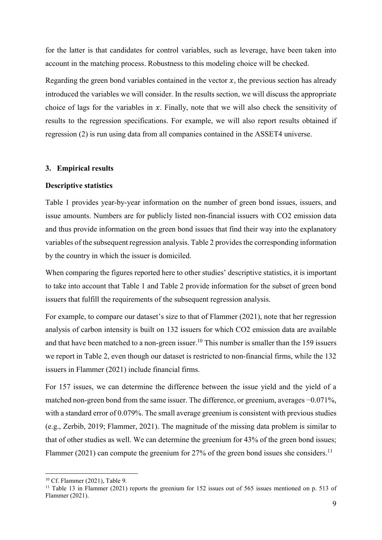for the latter is that candidates for control variables, such as leverage, have been taken into account in the matching process. Robustness to this modeling choice will be checked.

Regarding the green bond variables contained in the vector  $x$ , the previous section has already introduced the variables we will consider. In the results section, we will discuss the appropriate choice of lags for the variables in  $x$ . Finally, note that we will also check the sensitivity of results to the regression specifications. For example, we will also report results obtained if regression (2) is run using data from all companies contained in the ASSET4 universe.

## 3. Empirical results

### Descriptive statistics

Table 1 provides year-by-year information on the number of green bond issues, issuers, and issue amounts. Numbers are for publicly listed non-financial issuers with CO2 emission data and thus provide information on the green bond issues that find their way into the explanatory variables of the subsequent regression analysis. Table 2 provides the corresponding information by the country in which the issuer is domiciled.

When comparing the figures reported here to other studies' descriptive statistics, it is important to take into account that Table 1 and Table 2 provide information for the subset of green bond issuers that fulfill the requirements of the subsequent regression analysis.

For example, to compare our dataset's size to that of Flammer (2021), note that her regression analysis of carbon intensity is built on 132 issuers for which CO2 emission data are available and that have been matched to a non-green issuer.<sup>10</sup> This number is smaller than the 159 issuers we report in Table 2, even though our dataset is restricted to non-financial firms, while the 132 issuers in Flammer (2021) include financial firms.

For 157 issues, we can determine the difference between the issue yield and the yield of a matched non-green bond from the same issuer. The difference, or greenium, averages −0.071%, with a standard error of 0.079%. The small average greenium is consistent with previous studies (e.g., Zerbib, 2019; Flammer, 2021). The magnitude of the missing data problem is similar to that of other studies as well. We can determine the greenium for 43% of the green bond issues; Flammer (2021) can compute the greenium for 27% of the green bond issues she considers.<sup>11</sup>

 $\overline{a}$ 

<sup>10</sup> Cf. Flammer (2021), Table 9.

<sup>&</sup>lt;sup>11</sup> Table 13 in Flammer (2021) reports the greenium for 152 issues out of 565 issues mentioned on p. 513 of Flammer (2021).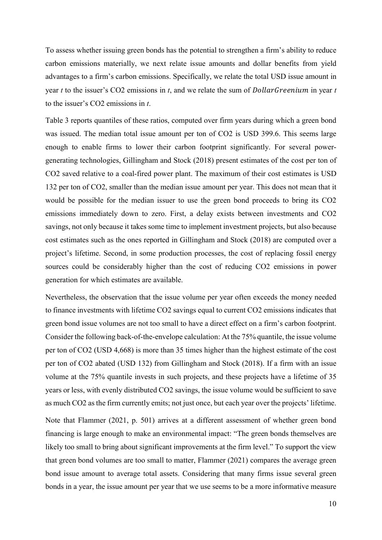To assess whether issuing green bonds has the potential to strengthen a firm's ability to reduce carbon emissions materially, we next relate issue amounts and dollar benefits from yield advantages to a firm's carbon emissions. Specifically, we relate the total USD issue amount in year t to the issuer's CO2 emissions in t, and we relate the sum of  $DollarGreenium$  in year t to the issuer's CO2 emissions in t.

Table 3 reports quantiles of these ratios, computed over firm years during which a green bond was issued. The median total issue amount per ton of CO2 is USD 399.6. This seems large enough to enable firms to lower their carbon footprint significantly. For several powergenerating technologies, Gillingham and Stock (2018) present estimates of the cost per ton of CO2 saved relative to a coal-fired power plant. The maximum of their cost estimates is USD 132 per ton of CO2, smaller than the median issue amount per year. This does not mean that it would be possible for the median issuer to use the green bond proceeds to bring its CO2 emissions immediately down to zero. First, a delay exists between investments and CO2 savings, not only because it takes some time to implement investment projects, but also because cost estimates such as the ones reported in Gillingham and Stock (2018) are computed over a project's lifetime. Second, in some production processes, the cost of replacing fossil energy sources could be considerably higher than the cost of reducing CO2 emissions in power generation for which estimates are available.

Nevertheless, the observation that the issue volume per year often exceeds the money needed to finance investments with lifetime CO2 savings equal to current CO2 emissions indicates that green bond issue volumes are not too small to have a direct effect on a firm's carbon footprint. Consider the following back-of-the-envelope calculation: At the 75% quantile, the issue volume per ton of CO2 (USD 4,668) is more than 35 times higher than the highest estimate of the cost per ton of CO2 abated (USD 132) from Gillingham and Stock (2018). If a firm with an issue volume at the 75% quantile invests in such projects, and these projects have a lifetime of 35 years or less, with evenly distributed CO2 savings, the issue volume would be sufficient to save as much CO2 as the firm currently emits; not just once, but each year over the projects' lifetime.

Note that Flammer (2021, p. 501) arrives at a different assessment of whether green bond financing is large enough to make an environmental impact: "The green bonds themselves are likely too small to bring about significant improvements at the firm level." To support the view that green bond volumes are too small to matter, Flammer (2021) compares the average green bond issue amount to average total assets. Considering that many firms issue several green bonds in a year, the issue amount per year that we use seems to be a more informative measure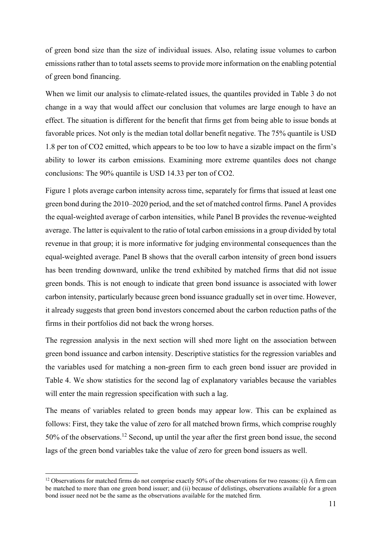of green bond size than the size of individual issues. Also, relating issue volumes to carbon emissions rather than to total assets seems to provide more information on the enabling potential of green bond financing.

When we limit our analysis to climate-related issues, the quantiles provided in Table 3 do not change in a way that would affect our conclusion that volumes are large enough to have an effect. The situation is different for the benefit that firms get from being able to issue bonds at favorable prices. Not only is the median total dollar benefit negative. The 75% quantile is USD 1.8 per ton of CO2 emitted, which appears to be too low to have a sizable impact on the firm's ability to lower its carbon emissions. Examining more extreme quantiles does not change conclusions: The 90% quantile is USD 14.33 per ton of CO2.

Figure 1 plots average carbon intensity across time, separately for firms that issued at least one green bond during the 2010–2020 period, and the set of matched control firms. Panel A provides the equal-weighted average of carbon intensities, while Panel B provides the revenue-weighted average. The latter is equivalent to the ratio of total carbon emissions in a group divided by total revenue in that group; it is more informative for judging environmental consequences than the equal-weighted average. Panel B shows that the overall carbon intensity of green bond issuers has been trending downward, unlike the trend exhibited by matched firms that did not issue green bonds. This is not enough to indicate that green bond issuance is associated with lower carbon intensity, particularly because green bond issuance gradually set in over time. However, it already suggests that green bond investors concerned about the carbon reduction paths of the firms in their portfolios did not back the wrong horses.

The regression analysis in the next section will shed more light on the association between green bond issuance and carbon intensity. Descriptive statistics for the regression variables and the variables used for matching a non-green firm to each green bond issuer are provided in Table 4. We show statistics for the second lag of explanatory variables because the variables will enter the main regression specification with such a lag.

The means of variables related to green bonds may appear low. This can be explained as follows: First, they take the value of zero for all matched brown firms, which comprise roughly 50% of the observations.<sup>12</sup> Second, up until the year after the first green bond issue, the second lags of the green bond variables take the value of zero for green bond issuers as well.

 $\overline{a}$ 

<sup>&</sup>lt;sup>12</sup> Observations for matched firms do not comprise exactly 50% of the observations for two reasons: (i) A firm can be matched to more than one green bond issuer; and (ii) because of delistings, observations available for a green bond issuer need not be the same as the observations available for the matched firm.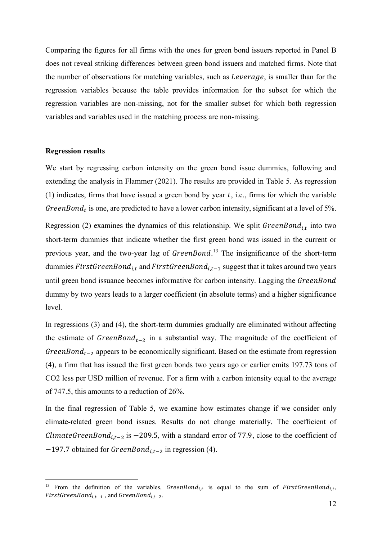Comparing the figures for all firms with the ones for green bond issuers reported in Panel B does not reveal striking differences between green bond issuers and matched firms. Note that the number of observations for matching variables, such as *Leverage*, is smaller than for the regression variables because the table provides information for the subset for which the regression variables are non-missing, not for the smaller subset for which both regression variables and variables used in the matching process are non-missing.

### Regression results

 $\overline{a}$ 

We start by regressing carbon intensity on the green bond issue dummies, following and extending the analysis in Flammer (2021). The results are provided in Table 5. As regression (1) indicates, firms that have issued a green bond by year  $t$ , i.e., firms for which the variable GreenBond<sub>t</sub> is one, are predicted to have a lower carbon intensity, significant at a level of 5%.

Regression (2) examines the dynamics of this relationship. We split  $GreenBond_{i,t}$  into two short-term dummies that indicate whether the first green bond was issued in the current or previous year, and the two-year lag of *GreenBond*.<sup>13</sup> The insignificance of the short-term dummies  $FirstGreenBond_{i,t}$  and  $FirstGreenBond_{i,t-1}$  suggest that it takes around two years until green bond issuance becomes informative for carbon intensity. Lagging the *GreenBond* dummy by two years leads to a larger coefficient (in absolute terms) and a higher significance level.

In regressions (3) and (4), the short-term dummies gradually are eliminated without affecting the estimate of  $GreenBond_{t-2}$  in a substantial way. The magnitude of the coefficient of GreenBond<sub>t-2</sub> appears to be economically significant. Based on the estimate from regression (4), a firm that has issued the first green bonds two years ago or earlier emits 197.73 tons of CO2 less per USD million of revenue. For a firm with a carbon intensity equal to the average of 747.5, this amounts to a reduction of 26%.

In the final regression of Table 5, we examine how estimates change if we consider only climate-related green bond issues. Results do not change materially. The coefficient of ClimateGreenBond<sub>i,t-2</sub> is −209.5, with a standard error of 77.9, close to the coefficient of  $-197.7$  obtained for GreenBon $d_{i,t-2}$  in regression (4).

<sup>&</sup>lt;sup>13</sup> From the definition of the variables, *GreenBond*<sub>i,t</sub> is equal to the sum of *FirstGreenBond*<sub>i,t</sub>,  $FirstGreenBond_{i.t-1}$ , and  $GreenBond_{i.t-2}$ .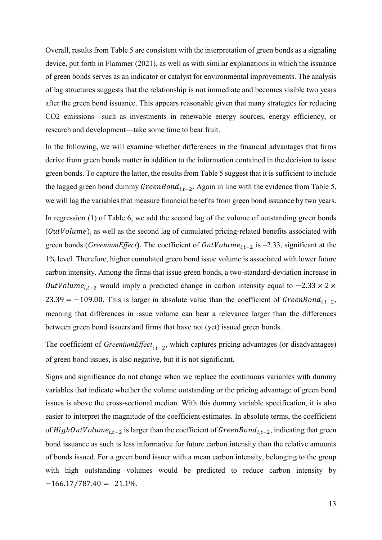Overall, results from Table 5 are consistent with the interpretation of green bonds as a signaling device, put forth in Flammer (2021), as well as with similar explanations in which the issuance of green bonds serves as an indicator or catalyst for environmental improvements. The analysis of lag structures suggests that the relationship is not immediate and becomes visible two years after the green bond issuance. This appears reasonable given that many strategies for reducing CO2 emissions—such as investments in renewable energy sources, energy efficiency, or research and development—take some time to bear fruit.

In the following, we will examine whether differences in the financial advantages that firms derive from green bonds matter in addition to the information contained in the decision to issue green bonds. To capture the latter, the results from Table 5 suggest that it is sufficient to include the lagged green bond dummy  $GreenBond_{i,t-2}$ . Again in line with the evidence from Table 5, we will lag the variables that measure financial benefits from green bond issuance by two years. In regression (1) of Table 6, we add the second lag of the volume of outstanding green bonds  $(OutVolume)$ , as well as the second lag of cumulated pricing-related benefits associated with green bonds (*GreeniumEffect*). The coefficient of  $OutVolume_{i,t-2}$  is -2.33, significant at the 1% level. Therefore, higher cumulated green bond issue volume is associated with lower future carbon intensity. Among the firms that issue green bonds, a two-standard-deviation increase in *OutVolume<sub>it-2</sub>* would imply a predicted change in carbon intensity equal to  $-2.33 \times 2 \times$ 23.39 = -109.00. This is larger in absolute value than the coefficient of GreenBond<sub>i,t-2</sub>, meaning that differences in issue volume can bear a relevance larger than the differences between green bond issuers and firms that have not (yet) issued green bonds.

The coefficient of Greenium Effect<sub>it-2</sub>, which captures pricing advantages (or disadvantages) of green bond issues, is also negative, but it is not significant.

Signs and significance do not change when we replace the continuous variables with dummy variables that indicate whether the volume outstanding or the pricing advantage of green bond issues is above the cross-sectional median. With this dummy variable specification, it is also easier to interpret the magnitude of the coefficient estimates. In absolute terms, the coefficient of HighOutVolume<sub>i,t-2</sub> is larger than the coefficient of GreenBond<sub>i,t-2</sub>, indicating that green bond issuance as such is less informative for future carbon intensity than the relative amounts of bonds issued. For a green bond issuer with a mean carbon intensity, belonging to the group with high outstanding volumes would be predicted to reduce carbon intensity by  $-166.17/787.40 = -21.1\%$ .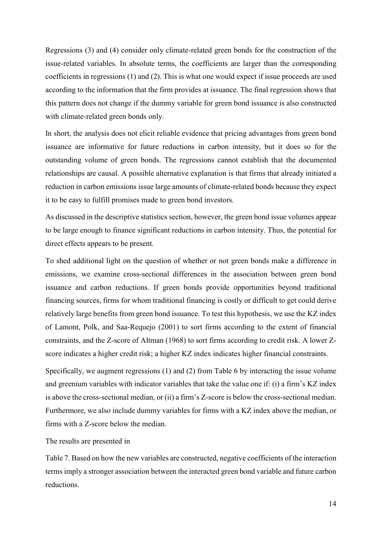Regressions (3) and (4) consider only climate-related green bonds for the construction of the issue-related variables. In absolute terms, the coefficients are larger than the corresponding coefficients in regressions (1) and (2). This is what one would expect if issue proceeds are used according to the information that the firm provides at issuance. The final regression shows that this pattern does not change if the dummy variable for green bond issuance is also constructed with climate-related green bonds only.

In short, the analysis does not elicit reliable evidence that pricing advantages from green bond issuance are informative for future reductions in carbon intensity, but it does so for the outstanding volume of green bonds. The regressions cannot establish that the documented relationships are causal. A possible alternative explanation is that firms that already initiated a reduction in carbon emissions issue large amounts of climate-related bonds because they expect it to be easy to fulfill promises made to green bond investors.

As discussed in the descriptive statistics section, however, the green bond issue volumes appear to be large enough to finance significant reductions in carbon intensity. Thus, the potential for direct effects appears to be present.

To shed additional light on the question of whether or not green bonds make a difference in emissions, we examine cross-sectional differences in the association between green bond issuance and carbon reductions. If green bonds provide opportunities beyond traditional financing sources, firms for whom traditional financing is costly or difficult to get could derive relatively large benefits from green bond issuance. To test this hypothesis, we use the KZ index of Lamont, Polk, and Saa-Requejo (2001) to sort firms according to the extent of financial constraints, and the Z-score of Altman (1968) to sort firms according to credit risk. A lower Zscore indicates a higher credit risk; a higher KZ index indicates higher financial constraints.

Specifically, we augment regressions (1) and (2) from Table 6 by interacting the issue volume and greenium variables with indicator variables that take the value one if: (i) a firm's KZ index is above the cross-sectional median, or (ii) a firm's Z-score is below the cross-sectional median. Furthermore, we also include dummy variables for firms with a KZ index above the median, or firms with a Z-score below the median.

The results are presented in

Table 7. Based on how the new variables are constructed, negative coefficients of the interaction terms imply a stronger association between the interacted green bond variable and future carbon reductions.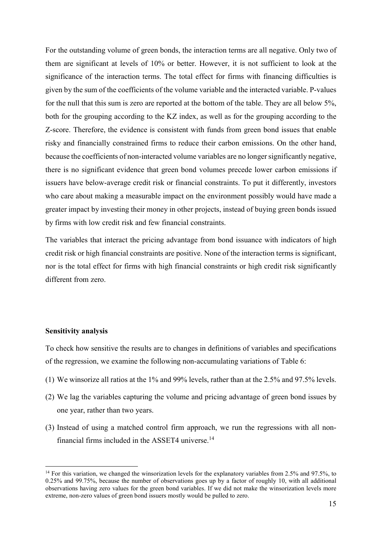For the outstanding volume of green bonds, the interaction terms are all negative. Only two of them are significant at levels of 10% or better. However, it is not sufficient to look at the significance of the interaction terms. The total effect for firms with financing difficulties is given by the sum of the coefficients of the volume variable and the interacted variable. P-values for the null that this sum is zero are reported at the bottom of the table. They are all below 5%, both for the grouping according to the KZ index, as well as for the grouping according to the Z-score. Therefore, the evidence is consistent with funds from green bond issues that enable risky and financially constrained firms to reduce their carbon emissions. On the other hand, because the coefficients of non-interacted volume variables are no longer significantly negative, there is no significant evidence that green bond volumes precede lower carbon emissions if issuers have below-average credit risk or financial constraints. To put it differently, investors who care about making a measurable impact on the environment possibly would have made a greater impact by investing their money in other projects, instead of buying green bonds issued by firms with low credit risk and few financial constraints.

The variables that interact the pricing advantage from bond issuance with indicators of high credit risk or high financial constraints are positive. None of the interaction terms is significant, nor is the total effect for firms with high financial constraints or high credit risk significantly different from zero.

### Sensitivity analysis

 $\overline{a}$ 

To check how sensitive the results are to changes in definitions of variables and specifications of the regression, we examine the following non-accumulating variations of Table 6:

- (1) We winsorize all ratios at the 1% and 99% levels, rather than at the 2.5% and 97.5% levels.
- (2) We lag the variables capturing the volume and pricing advantage of green bond issues by one year, rather than two years.
- (3) Instead of using a matched control firm approach, we run the regressions with all nonfinancial firms included in the ASSET4 universe.<sup>14</sup>

<sup>&</sup>lt;sup>14</sup> For this variation, we changed the winsorization levels for the explanatory variables from 2.5% and 97.5%, to 0.25% and 99.75%, because the number of observations goes up by a factor of roughly 10, with all additional observations having zero values for the green bond variables. If we did not make the winsorization levels more extreme, non-zero values of green bond issuers mostly would be pulled to zero.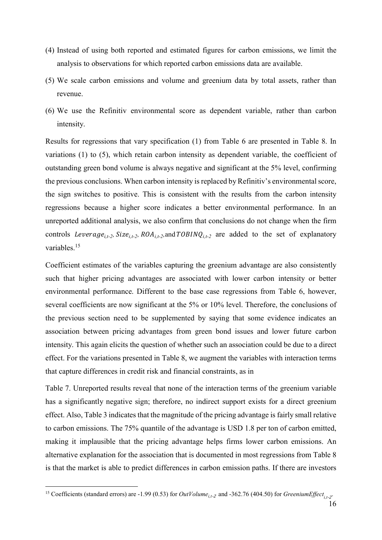- (4) Instead of using both reported and estimated figures for carbon emissions, we limit the analysis to observations for which reported carbon emissions data are available.
- (5) We scale carbon emissions and volume and greenium data by total assets, rather than revenue.
- (6) We use the Refinitiv environmental score as dependent variable, rather than carbon intensity.

Results for regressions that vary specification (1) from Table 6 are presented in Table 8. In variations (1) to (5), which retain carbon intensity as dependent variable, the coefficient of outstanding green bond volume is always negative and significant at the 5% level, confirming the previous conclusions. When carbon intensity is replaced by Refinitiv's environmental score, the sign switches to positive. This is consistent with the results from the carbon intensity regressions because a higher score indicates a better environmental performance. In an unreported additional analysis, we also confirm that conclusions do not change when the firm controls Leverage<sub>i.t-2</sub>, Size<sub>i.t-2</sub>, ROA<sub>i.t-2</sub>, and TOBINQ<sub>i.t-2</sub> are added to the set of explanatory variables.<sup>15</sup>

Coefficient estimates of the variables capturing the greenium advantage are also consistently such that higher pricing advantages are associated with lower carbon intensity or better environmental performance. Different to the base case regressions from Table 6, however, several coefficients are now significant at the 5% or 10% level. Therefore, the conclusions of the previous section need to be supplemented by saying that some evidence indicates an association between pricing advantages from green bond issues and lower future carbon intensity. This again elicits the question of whether such an association could be due to a direct effect. For the variations presented in Table 8, we augment the variables with interaction terms that capture differences in credit risk and financial constraints, as in

Table 7. Unreported results reveal that none of the interaction terms of the greenium variable has a significantly negative sign; therefore, no indirect support exists for a direct greenium effect. Also, Table 3 indicates that the magnitude of the pricing advantage is fairly small relative to carbon emissions. The 75% quantile of the advantage is USD 1.8 per ton of carbon emitted, making it implausible that the pricing advantage helps firms lower carbon emissions. An alternative explanation for the association that is documented in most regressions from Table 8 is that the market is able to predict differences in carbon emission paths. If there are investors

 $\overline{a}$ 

<sup>&</sup>lt;sup>15</sup> Coefficients (standard errors) are -1.99 (0.53) for *OutVolume*<sub>it-2</sub> and -362.76 (404.50) for *GreeniumEffect*<sub>it-2</sub>.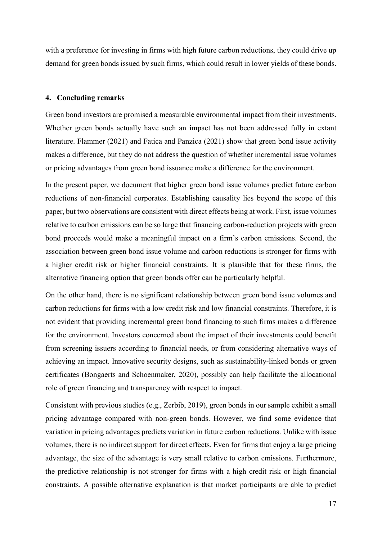with a preference for investing in firms with high future carbon reductions, they could drive up demand for green bonds issued by such firms, which could result in lower yields of these bonds.

### 4. Concluding remarks

Green bond investors are promised a measurable environmental impact from their investments. Whether green bonds actually have such an impact has not been addressed fully in extant literature. Flammer (2021) and Fatica and Panzica (2021) show that green bond issue activity makes a difference, but they do not address the question of whether incremental issue volumes or pricing advantages from green bond issuance make a difference for the environment.

In the present paper, we document that higher green bond issue volumes predict future carbon reductions of non-financial corporates. Establishing causality lies beyond the scope of this paper, but two observations are consistent with direct effects being at work. First, issue volumes relative to carbon emissions can be so large that financing carbon-reduction projects with green bond proceeds would make a meaningful impact on a firm's carbon emissions. Second, the association between green bond issue volume and carbon reductions is stronger for firms with a higher credit risk or higher financial constraints. It is plausible that for these firms, the alternative financing option that green bonds offer can be particularly helpful.

On the other hand, there is no significant relationship between green bond issue volumes and carbon reductions for firms with a low credit risk and low financial constraints. Therefore, it is not evident that providing incremental green bond financing to such firms makes a difference for the environment. Investors concerned about the impact of their investments could benefit from screening issuers according to financial needs, or from considering alternative ways of achieving an impact. Innovative security designs, such as sustainability-linked bonds or green certificates (Bongaerts and Schoenmaker, 2020), possibly can help facilitate the allocational role of green financing and transparency with respect to impact.

Consistent with previous studies (e.g., Zerbib, 2019), green bonds in our sample exhibit a small pricing advantage compared with non-green bonds. However, we find some evidence that variation in pricing advantages predicts variation in future carbon reductions. Unlike with issue volumes, there is no indirect support for direct effects. Even for firms that enjoy a large pricing advantage, the size of the advantage is very small relative to carbon emissions. Furthermore, the predictive relationship is not stronger for firms with a high credit risk or high financial constraints. A possible alternative explanation is that market participants are able to predict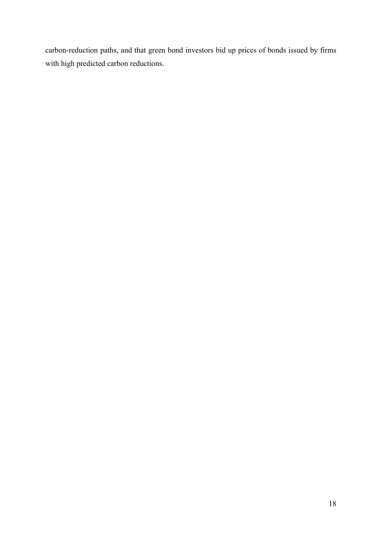carbon-reduction paths, and that green bond investors bid up prices of bonds issued by firms with high predicted carbon reductions.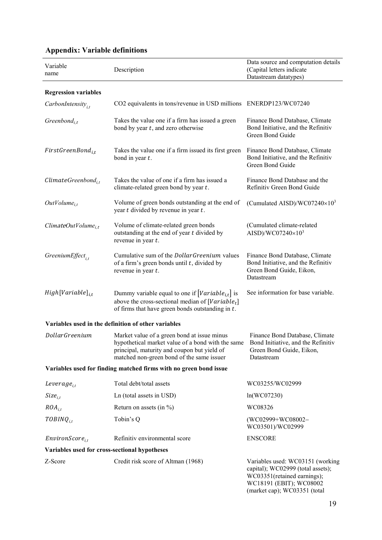| Variable<br>name                              | Description                                                                                                                                                                                  | Data source and computation details<br>(Capital letters indicate<br>Datastream datatypes)                                                                       |
|-----------------------------------------------|----------------------------------------------------------------------------------------------------------------------------------------------------------------------------------------------|-----------------------------------------------------------------------------------------------------------------------------------------------------------------|
| <b>Regression variables</b>                   |                                                                                                                                                                                              |                                                                                                                                                                 |
| CarbonIntensity <sub>it</sub>                 | CO2 equivalents in tons/revenue in USD millions ENERDP123/WC07240                                                                                                                            |                                                                                                                                                                 |
| Greenbond <sub>i,t</sub>                      | Takes the value one if a firm has issued a green<br>bond by year $t$ , and zero otherwise                                                                                                    | Finance Bond Database, Climate<br>Bond Initiative, and the Refinitiv<br>Green Bond Guide                                                                        |
| $FirstGreenBond_{i,t}$                        | Takes the value one if a firm issued its first green<br>bond in year $t$ .                                                                                                                   | Finance Bond Database, Climate<br>Bond Initiative, and the Refinitiv<br>Green Bond Guide                                                                        |
| $ClimateGreenbond_{i,t}$                      | Takes the value of one if a firm has issued a<br>climate-related green bond by year t.                                                                                                       | Finance Bond Database and the<br>Refinitiv Green Bond Guide                                                                                                     |
| $OutVolume_{i,t}$                             | Volume of green bonds outstanding at the end of<br>year $t$ divided by revenue in year $t$ .                                                                                                 | (Cumulated AISD)/WC07240 $\times$ 10 <sup>3</sup>                                                                                                               |
| $ClimateOutVolume_{i,t}$                      | Volume of climate-related green bonds<br>outstanding at the end of year t divided by<br>revenue in year $t$ .                                                                                | (Cumulated climate-related<br>AISD)/WC07240 $\times$ 10 <sup>3</sup>                                                                                            |
| GreeniumEffect <sub>it</sub>                  | Cumulative sum of the <i>DollarGreenium</i> values<br>of a firm's green bonds until $t$ , divided by<br>revenue in year $t$ .                                                                | Finance Bond Database, Climate<br>Bond Initiative, and the Refinitiv<br>Green Bond Guide, Eikon,<br>Datastream                                                  |
| $High[Variable]_{i,t}$                        | Dummy variable equal to one if $[Variable_{i,t}]$ is<br>above the cross-sectional median of $[Variable_t]$<br>of firms that have green bonds outstanding in $t$ .                            | See information for base variable.                                                                                                                              |
|                                               | Variables used in the definition of other variables                                                                                                                                          |                                                                                                                                                                 |
| <b>DollarGreenium</b>                         | Market value of a green bond at issue minus<br>hypothetical market value of a bond with the same<br>principal, maturity and coupon but yield of<br>matched non-green bond of the same issuer | Finance Bond Database, Climate<br>Bond Initiative, and the Refinitiv<br>Green Bond Guide, Eikon,<br>Datastream                                                  |
|                                               | Variables used for finding matched firms with no green bond issue                                                                                                                            |                                                                                                                                                                 |
| Leverage $_{i,t}$                             | Total debt/total assets                                                                                                                                                                      | WC03255/WC02999                                                                                                                                                 |
| $Size_{i,t}$                                  | Ln (total assets in USD)                                                                                                                                                                     | ln(WCO7230)                                                                                                                                                     |
| $ROA_{i.t}$                                   | Return on assets (in $\%$ )                                                                                                                                                                  | WC08326                                                                                                                                                         |
| $TOBINQ_{i,t}$                                | Tobin's Q                                                                                                                                                                                    | (WC02999+WC08002-<br>WC03501)/WC02999                                                                                                                           |
| $EnvironScore_{i,t}$                          | Refinitiv environmental score                                                                                                                                                                | <b>ENSCORE</b>                                                                                                                                                  |
| Variables used for cross-sectional hypotheses |                                                                                                                                                                                              |                                                                                                                                                                 |
| Z-Score                                       | Credit risk score of Altman (1968)                                                                                                                                                           | Variables used: WC03151 (working<br>capital); WC02999 (total assets);<br>WC03351(retained earnings);<br>WC18191 (EBIT); WC08002<br>(market cap); WC03351 (total |

# Appendix: Variable definitions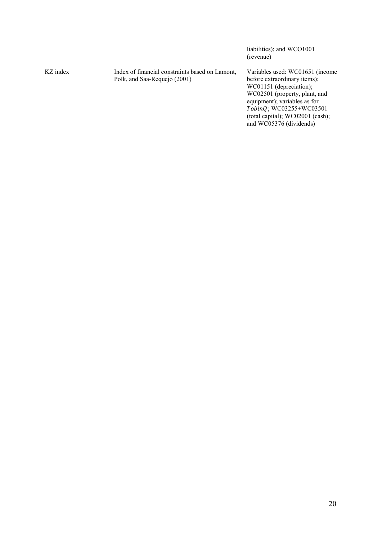(revenue) KZ index **Index** of financial constraints based on Lamont, Polk, and Saa-Requejo (2001) Variables used: WC01651 (income before extraordinary items); WC01151 (depreciation); WC02501 (property, plant, and equipment); variables as for TobinQ; WC03255+WC03501 (total capital); WC02001 (cash); and  $WC05376$  (dividends)

liabilities); and WCO1001

20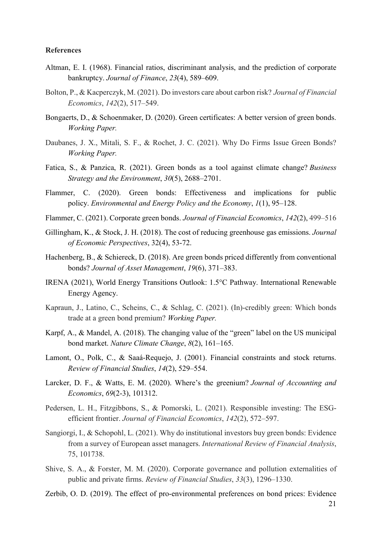#### **References**

- Altman, E. I. (1968). Financial ratios, discriminant analysis, and the prediction of corporate bankruptcy. Journal of Finance, 23(4), 589–609.
- Bolton, P., & Kacperczyk, M. (2021). Do investors care about carbon risk? Journal of Financial Economics, 142(2), 517–549.
- Bongaerts, D., & Schoenmaker, D. (2020). Green certificates: A better version of green bonds. Working Paper.
- Daubanes, J. X., Mitali, S. F., & Rochet, J. C. (2021). Why Do Firms Issue Green Bonds? Working Paper.
- Fatica, S., & Panzica, R. (2021). Green bonds as a tool against climate change? Business Strategy and the Environment, 30(5), 2688–2701.
- Flammer, C. (2020). Green bonds: Effectiveness and implications for public policy. Environmental and Energy Policy and the Economy, 1(1), 95–128.
- Flammer, C. (2021). Corporate green bonds. Journal of Financial Economics, 142(2), 499–516
- Gillingham, K., & Stock, J. H. (2018). The cost of reducing greenhouse gas emissions. Journal of Economic Perspectives, 32(4), 53-72.
- Hachenberg, B., & Schiereck, D. (2018). Are green bonds priced differently from conventional bonds? Journal of Asset Management, 19(6), 371–383.
- IRENA (2021), World Energy Transitions Outlook: 1.5°C Pathway. International Renewable Energy Agency.
- Kapraun, J., Latino, C., Scheins, C., & Schlag, C. (2021). (In)-credibly green: Which bonds trade at a green bond premium? Working Paper.
- Karpf, A., & Mandel, A. (2018). The changing value of the "green" label on the US municipal bond market. Nature Climate Change, 8(2), 161–165.
- Lamont, O., Polk, C., & Saaá-Requejo, J. (2001). Financial constraints and stock returns. Review of Financial Studies, 14(2), 529–554.
- Larcker, D. F., & Watts, E. M. (2020). Where's the greenium? Journal of Accounting and Economics, 69(2-3), 101312.
- Pedersen, L. H., Fitzgibbons, S., & Pomorski, L. (2021). Responsible investing: The ESGefficient frontier. Journal of Financial Economics, 142(2), 572–597.
- Sangiorgi, I., & Schopohl, L. (2021). Why do institutional investors buy green bonds: Evidence from a survey of European asset managers. International Review of Financial Analysis, 75, 101738.
- Shive, S. A., & Forster, M. M. (2020). Corporate governance and pollution externalities of public and private firms. Review of Financial Studies, 33(3), 1296–1330.
- Zerbib, O. D. (2019). The effect of pro-environmental preferences on bond prices: Evidence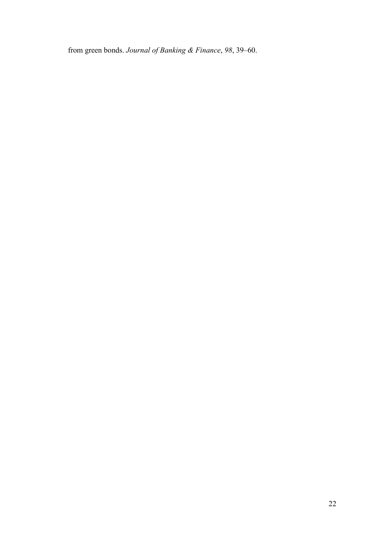from green bonds. Journal of Banking & Finance, 98, 39–60.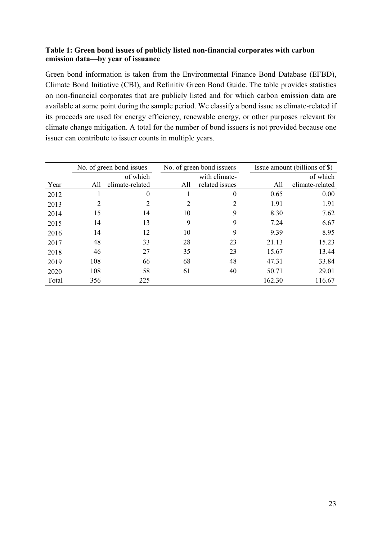# Table 1: Green bond issues of publicly listed non-financial corporates with carbon emission data—by year of issuance

Green bond information is taken from the Environmental Finance Bond Database (EFBD), Climate Bond Initiative (CBI), and Refinitiv Green Bond Guide. The table provides statistics on non-financial corporates that are publicly listed and for which carbon emission data are available at some point during the sample period. We classify a bond issue as climate-related if its proceeds are used for energy efficiency, renewable energy, or other purposes relevant for climate change mitigation. A total for the number of bond issuers is not provided because one issuer can contribute to issuer counts in multiple years.

|       | No. of green bond issues |                  |     | No. of green bond issuers |        | Issue amount (billions of \$) |  |  |
|-------|--------------------------|------------------|-----|---------------------------|--------|-------------------------------|--|--|
|       |                          | of which         |     | with climate-             |        | of which                      |  |  |
| Year  | All                      | climate-related  | All | related issues            | All    | climate-related               |  |  |
| 2012  |                          | $\boldsymbol{0}$ |     | 0                         | 0.65   | 0.00                          |  |  |
| 2013  | 2                        | 2                | 2   | $\overline{2}$            | 1.91   | 1.91                          |  |  |
| 2014  | 15                       | 14               | 10  | 9                         | 8.30   | 7.62                          |  |  |
| 2015  | 14                       | 13               | 9   | 9                         | 7.24   | 6.67                          |  |  |
| 2016  | 14                       | 12               | 10  | 9                         | 9.39   | 8.95                          |  |  |
| 2017  | 48                       | 33               | 28  | 23                        | 21.13  | 15.23                         |  |  |
| 2018  | 46                       | 27               | 35  | 23                        | 15.67  | 13.44                         |  |  |
| 2019  | 108                      | 66               | 68  | 48                        | 47.31  | 33.84                         |  |  |
| 2020  | 108                      | 58               | 61  | 40                        | 50.71  | 29.01                         |  |  |
| Total | 356                      | 225              |     |                           | 162.30 | 116.67                        |  |  |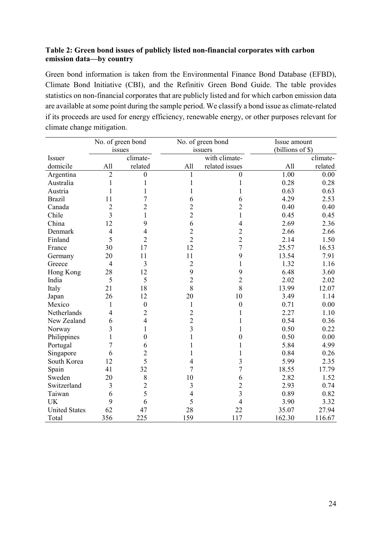# Table 2: Green bond issues of publicly listed non-financial corporates with carbon emission data—by country

Green bond information is taken from the Environmental Finance Bond Database (EFBD), Climate Bond Initiative (CBI), and the Refinitiv Green Bond Guide. The table provides statistics on non-financial corporates that are publicly listed and for which carbon emission data are available at some point during the sample period. We classify a bond issue as climate-related if its proceeds are used for energy efficiency, renewable energy, or other purposes relevant for climate change mitigation.

|                      |                         | No. of green bond |                         | No. of green bond |        | Issue amount     |  |
|----------------------|-------------------------|-------------------|-------------------------|-------------------|--------|------------------|--|
|                      |                         | issues            |                         | issuers           |        | (billions of \$) |  |
| <b>Issuer</b>        |                         | climate-          |                         | with climate-     |        | climate-         |  |
| domicile             | All                     | related           | All                     | related issues    | All    | related          |  |
| Argentina            | $\overline{2}$          | $\boldsymbol{0}$  |                         | $\mathbf{0}$      | 1.00   | 0.00             |  |
| Australia            | $\mathbf 1$             | 1                 |                         | 1                 | 0.28   | 0.28             |  |
| Austria              | 1                       | 1                 | 1                       | 1                 | 0.63   | 0.63             |  |
| <b>Brazil</b>        | 11                      | 7                 | 6                       | 6                 | 4.29   | 2.53             |  |
| Canada               | $\overline{c}$          | $\overline{2}$    | $\overline{2}$          | $\overline{c}$    | 0.40   | 0.40             |  |
| Chile                | $\overline{\mathbf{3}}$ | 1                 | $\overline{c}$          | $\mathbf{1}$      | 0.45   | 0.45             |  |
| China                | 12                      | 9                 | 6                       | $\overline{4}$    | 2.69   | 2.36             |  |
| Denmark              | $\overline{4}$          | 4                 | $\overline{c}$          | $\overline{c}$    | 2.66   | 2.66             |  |
| Finland              | 5                       | $\overline{2}$    | $\overline{2}$          | $\overline{2}$    | 2.14   | 1.50             |  |
| France               | 30                      | 17                | 12                      | $\overline{7}$    | 25.57  | 16.53            |  |
| Germany              | 20                      | 11                | 11                      | 9                 | 13.54  | 7.91             |  |
| Greece               | 4                       | 3                 | $\overline{2}$          | 1                 | 1.32   | 1.16             |  |
| Hong Kong            | 28                      | 12                | 9                       | 9                 | 6.48   | 3.60             |  |
| India                | 5                       | 5                 | $\overline{2}$          | $\overline{c}$    | 2.02   | 2.02             |  |
| Italy                | 21                      | 18                | 8                       | 8                 | 13.99  | 12.07            |  |
| Japan                | 26                      | 12                | 20                      | 10                | 3.49   | 1.14             |  |
| Mexico               | $\mathbf{1}$            | $\boldsymbol{0}$  | $\mathbf{1}$            | $\boldsymbol{0}$  | 0.71   | 0.00             |  |
| Netherlands          | $\overline{4}$          | $\overline{2}$    | $\overline{2}$          | 1                 | 2.27   | 1.10             |  |
| New Zealand          | 6                       | 4                 | $\overline{2}$          | 1                 | 0.54   | 0.36             |  |
| Norway               | 3                       | 1                 | $\overline{\mathbf{3}}$ | 1                 | 0.50   | 0.22             |  |
| Philippines          | 1                       | $\boldsymbol{0}$  | $\mathbf 1$             | $\boldsymbol{0}$  | 0.50   | 0.00             |  |
| Portugal             | 7                       | 6                 |                         | 1                 | 5.84   | 4.99             |  |
| Singapore            | 6                       | $\overline{c}$    | 1                       | 1                 | 0.84   | 0.26             |  |
| South Korea          | 12                      | 5                 | 4                       | 3                 | 5.99   | 2.35             |  |
| Spain                | 41                      | 32                | $\overline{7}$          | 7                 | 18.55  | 17.79            |  |
| Sweden               | 20                      | 8                 | 10                      | 6                 | 2.82   | 1.52             |  |
| Switzerland          | 3                       | $\overline{2}$    | 3                       | $\overline{2}$    | 2.93   | 0.74             |  |
| Taiwan               | 6                       | 5                 | $\overline{4}$          | 3                 | 0.89   | 0.82             |  |
| <b>UK</b>            | 9                       | 6                 | 5                       | $\overline{4}$    | 3.90   | 3.32             |  |
| <b>United States</b> | 62                      | 47                | 28                      | 22                | 35.07  | 27.94            |  |
| Total                | 356                     | 225               | 159                     | 117               | 162.30 | 116.67           |  |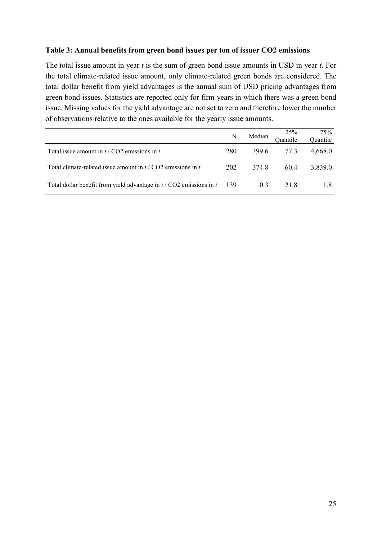## Table 3: Annual benefits from green bond issues per ton of issuer CO2 emissions

The total issue amount in year  $t$  is the sum of green bond issue amounts in USD in year  $t$ . For the total climate-related issue amount, only climate-related green bonds are considered. The total dollar benefit from yield advantages is the annual sum of USD pricing advantages from green bond issues. Statistics are reported only for firm years in which there was a green bond issue. Missing values for the yield advantage are not set to zero and therefore lower the number of observations relative to the ones available for the yearly issue amounts.

|                                                                               | N   | Median | 25%<br>Quantile | 75%<br>Quantile |
|-------------------------------------------------------------------------------|-----|--------|-----------------|-----------------|
| Total issue amount in $t / CO2$ emissions in t                                | 280 | 399.6  | 77.3            | 4.668.0         |
| Total climate-related issue amount in $t / CO2$ emissions in t                | 202 | 374.8  | 60.4            | 3,839.0         |
| Total dollar benefit from yield advantage in $t / CO2$ emissions in $t = 139$ |     |        | $-0.3$ $-21.8$  | 1.8             |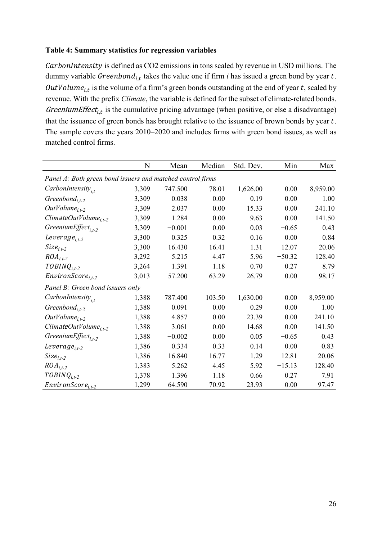## Table 4: Summary statistics for regression variables

CarbonIntensity is defined as CO2 emissions in tons scaled by revenue in USD millions. The dummy variable  $Greenbond_{i,t}$  takes the value one if firm *i* has issued a green bond by year *t*. OutVolume<sub>i,t</sub> is the volume of a firm's green bonds outstanding at the end of year t, scaled by revenue. With the prefix Climate, the variable is defined for the subset of climate-related bonds. Greenium Effect<sub>i,t</sub> is the cumulative pricing advantage (when positive, or else a disadvantage) that the issuance of green bonds has brought relative to the issuance of brown bonds by year  $t$ . The sample covers the years 2010–2020 and includes firms with green bond issues, as well as matched control firms.

|                                                            | N     | Mean     | Median | Std. Dev. | Min      | Max      |  |  |
|------------------------------------------------------------|-------|----------|--------|-----------|----------|----------|--|--|
| Panel A: Both green bond issuers and matched control firms |       |          |        |           |          |          |  |  |
| $CarbonIntensity_{i,t}$                                    | 3,309 | 747.500  | 78.01  | 1,626.00  | 0.00     | 8,959.00 |  |  |
| Greenbond <sub>i,t-2</sub>                                 | 3,309 | 0.038    | 0.00   | 0.19      | 0.00     | 1.00     |  |  |
| $OutVolume_{i,t-2}$                                        | 3,309 | 2.037    | 0.00   | 15.33     | 0.00     | 241.10   |  |  |
| $ClimateOutVolume_{i.t-2}$                                 | 3,309 | 1.284    | 0.00   | 9.63      | 0.00     | 141.50   |  |  |
| GreeniumEffect <sub>i.t-2</sub>                            | 3,309 | $-0.001$ | 0.00   | 0.03      | $-0.65$  | 0.43     |  |  |
| Leverage <sub><math>i,t-2</math></sub>                     | 3,300 | 0.325    | 0.32   | 0.16      | 0.00     | 0.84     |  |  |
| $Size_{i,t-2}$                                             | 3,300 | 16.430   | 16.41  | 1.31      | 12.07    | 20.06    |  |  |
| $ROA_{i,t-2}$                                              | 3,292 | 5.215    | 4.47   | 5.96      | $-50.32$ | 128.40   |  |  |
| $TOBINQ_{i,t-2}$                                           | 3,264 | 1.391    | 1.18   | 0.70      | 0.27     | 8.79     |  |  |
| $EnvironScore_{i,t-2}$                                     | 3,013 | 57.200   | 63.29  | 26.79     | 0.00     | 98.17    |  |  |
| Panel B: Green bond issuers only                           |       |          |        |           |          |          |  |  |
| $CarbonIntensity_{i,t}$                                    | 1,388 | 787.400  | 103.50 | 1,630.00  | 0.00     | 8,959.00 |  |  |
| Greenbond <sub>i.t-2</sub>                                 | 1,388 | 0.091    | 0.00   | 0.29      | 0.00     | 1.00     |  |  |
| $OutVolume_{i,t-2}$                                        | 1,388 | 4.857    | 0.00   | 23.39     | 0.00     | 241.10   |  |  |
| $ClimateOutVolume_{i.t-2}$                                 | 1,388 | 3.061    | 0.00   | 14.68     | 0.00     | 141.50   |  |  |
| GreeniumEffect <sub>it-2</sub>                             | 1,388 | $-0.002$ | 0.00   | 0.05      | $-0.65$  | 0.43     |  |  |
| Leverage <sub>i.t-2</sub>                                  | 1,386 | 0.334    | 0.33   | 0.14      | 0.00     | 0.83     |  |  |
| $Size_{i,t-2}$                                             | 1,386 | 16.840   | 16.77  | 1.29      | 12.81    | 20.06    |  |  |
| $ROA_{i,t-2}$                                              | 1,383 | 5.262    | 4.45   | 5.92      | $-15.13$ | 128.40   |  |  |
| $TOBINQ_{i,t-2}$                                           | 1,378 | 1.396    | 1.18   | 0.66      | 0.27     | 7.91     |  |  |
| $EnvironScore_{i,t-2}$                                     | 1,299 | 64.590   | 70.92  | 23.93     | 0.00     | 97.47    |  |  |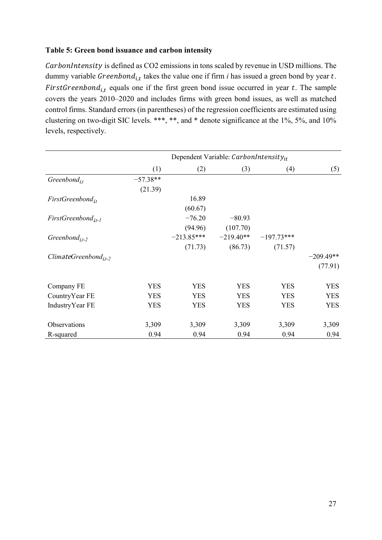# Table 5: Green bond issuance and carbon intensity

CarbonIntensity is defined as CO2 emissions in tons scaled by revenue in USD millions. The dummy variable  $Greenbond_{i,t}$  takes the value one if firm *i* has issued a green bond by year *t*. FirstGreenbond<sub>i,t</sub> equals one if the first green bond issue occurred in year t. The sample covers the years 2010–2020 and includes firms with green bond issues, as well as matched control firms. Standard errors (in parentheses) of the regression coefficients are estimated using clustering on two-digit SIC levels. \*\*\*, \*\*, and \* denote significance at the 1%, 5%, and 10% levels, respectively.

|                                  | Dependent Variable: CarbonIntensity $_{it}$ |              |             |              |             |  |  |
|----------------------------------|---------------------------------------------|--------------|-------------|--------------|-------------|--|--|
|                                  | (1)                                         | (2)          | (3)         | (4)          | (5)         |  |  |
| Greenbond <sub>it</sub>          | $-57.38**$                                  |              |             |              |             |  |  |
|                                  | (21.39)                                     |              |             |              |             |  |  |
| $FirstGreenbond_{it}$            |                                             | 16.89        |             |              |             |  |  |
|                                  |                                             | (60.67)      |             |              |             |  |  |
| $FirstGreenbond_{it-1}$          |                                             | $-76.20$     | $-80.93$    |              |             |  |  |
|                                  |                                             | (94.96)      | (107.70)    |              |             |  |  |
| Greenbond <sub>it-2</sub>        |                                             | $-213.85***$ | $-219.40**$ | $-197.73***$ |             |  |  |
|                                  |                                             | (71.73)      | (86.73)     | (71.57)      |             |  |  |
| ClimateGreenbond <sub>it-2</sub> |                                             |              |             |              | $-209.49**$ |  |  |
|                                  |                                             |              |             |              | (77.91)     |  |  |
| Company FE                       | <b>YES</b>                                  | <b>YES</b>   | <b>YES</b>  | <b>YES</b>   | <b>YES</b>  |  |  |
| CountryYear FE                   | <b>YES</b>                                  | <b>YES</b>   | <b>YES</b>  | <b>YES</b>   | <b>YES</b>  |  |  |
| IndustryYear FE                  | <b>YES</b>                                  | <b>YES</b>   | <b>YES</b>  | <b>YES</b>   | <b>YES</b>  |  |  |
| Observations                     | 3,309                                       | 3,309        | 3,309       | 3,309        | 3,309       |  |  |
| R-squared                        | 0.94                                        | 0.94         | 0.94        | 0.94         | 0.94        |  |  |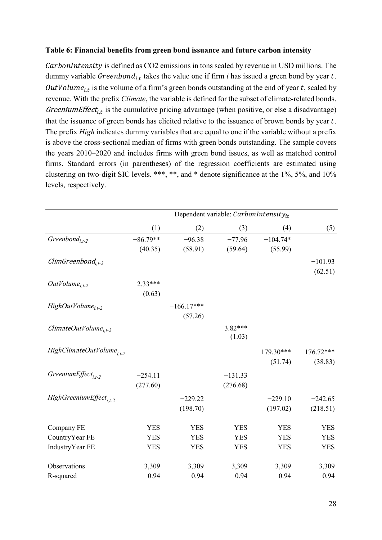## Table 6: Financial benefits from green bond issuance and future carbon intensity

CarbonIntensity is defined as CO2 emissions in tons scaled by revenue in USD millions. The dummy variable  $Greenbond_{i,t}$  takes the value one if firm *i* has issued a green bond by year *t*. OutVolume<sub>i,t</sub> is the volume of a firm's green bonds outstanding at the end of year t, scaled by revenue. With the prefix Climate, the variable is defined for the subset of climate-related bonds. Greenium Effect<sub>i,t</sub> is the cumulative pricing advantage (when positive, or else a disadvantage) that the issuance of green bonds has elicited relative to the issuance of brown bonds by year  $t$ . The prefix *High* indicates dummy variables that are equal to one if the variable without a prefix is above the cross-sectional median of firms with green bonds outstanding. The sample covers the years 2010–2020 and includes firms with green bond issues, as well as matched control firms. Standard errors (in parentheses) of the regression coefficients are estimated using clustering on two-digit SIC levels. \*\*\*, \*\*, and \* denote significance at the 1%, 5%, and 10% levels, respectively.

|                                       | Dependent variable: CarbonIntensityit |              |            |              |              |  |  |
|---------------------------------------|---------------------------------------|--------------|------------|--------------|--------------|--|--|
|                                       | (1)                                   | (2)          | (3)        | (4)          | (5)          |  |  |
| Greenbond <sub>it-2</sub>             | $-86.79**$                            | $-96.38$     | $-77.96$   | $-104.74*$   |              |  |  |
|                                       | (40.35)                               | (58.91)      | (59.64)    | (55.99)      |              |  |  |
| ClimGreenbond <sub>i.t-2</sub>        |                                       |              |            |              | $-101.93$    |  |  |
|                                       |                                       |              |            |              | (62.51)      |  |  |
| $OutVolume_{i,t-2}$                   | $-2.33***$                            |              |            |              |              |  |  |
|                                       | (0.63)                                |              |            |              |              |  |  |
| $HighOutVolume_{i.t-2}$               |                                       | $-166.17***$ |            |              |              |  |  |
|                                       |                                       | (57.26)      |            |              |              |  |  |
| $ClimateOutVolume_{i.t-2}$            |                                       |              | $-3.82***$ |              |              |  |  |
|                                       |                                       |              | (1.03)     |              |              |  |  |
| HighClimateOutVolume <sub>i.t-2</sub> |                                       |              |            | $-179.30***$ | $-176.72***$ |  |  |
|                                       |                                       |              |            | (51.74)      | (38.83)      |  |  |
| GreeniumEffect <sub>i.t-2</sub>       | $-254.11$                             |              | $-131.33$  |              |              |  |  |
|                                       | (277.60)                              |              | (276.68)   |              |              |  |  |
| HighGreeniumEffect <sub>i.t-2</sub>   |                                       |              |            |              |              |  |  |
|                                       |                                       | $-229.22$    |            | $-229.10$    | $-242.65$    |  |  |
|                                       |                                       | (198.70)     |            | (197.02)     | (218.51)     |  |  |
| Company FE                            | <b>YES</b>                            | <b>YES</b>   | <b>YES</b> | <b>YES</b>   | <b>YES</b>   |  |  |
| CountryYear FE                        | <b>YES</b>                            | <b>YES</b>   | <b>YES</b> | <b>YES</b>   | <b>YES</b>   |  |  |
| IndustryYear FE                       | <b>YES</b>                            | <b>YES</b>   | <b>YES</b> | <b>YES</b>   | <b>YES</b>   |  |  |
|                                       |                                       |              |            |              |              |  |  |
| Observations                          | 3,309                                 | 3,309        | 3,309      | 3,309        | 3,309        |  |  |
| R-squared                             | 0.94                                  | 0.94         | 0.94       | 0.94         | 0.94         |  |  |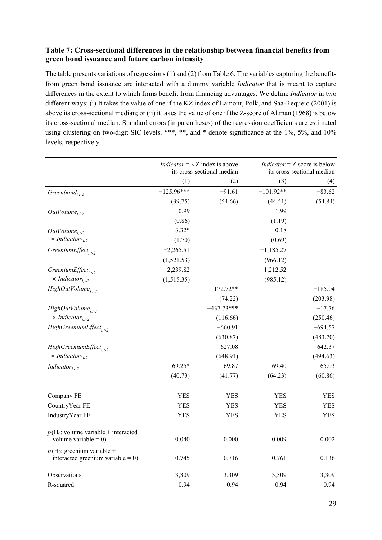# Table 7: Cross-sectional differences in the relationship between financial benefits from green bond issuance and future carbon intensity

The table presents variations of regressions (1) and (2) from Table 6. The variables capturing the benefits from green bond issuance are interacted with a dummy variable Indicator that is meant to capture differences in the extent to which firms benefit from financing advantages. We define Indicator in two different ways: (i) It takes the value of one if the KZ index of Lamont, Polk, and Saa-Requejo (2001) is above its cross-sectional median; or (ii) it takes the value of one if the Z-score of Altman (1968) is below its cross-sectional median. Standard errors (in parentheses) of the regression coefficients are estimated using clustering on two-digit SIC levels. \*\*\*, \*\*, and \* denote significance at the 1%, 5%, and 10% levels, respectively.

|                                                                      | $Indication = KZ$ index is above<br>its cross-sectional median |              | $Indication = Z-score$ is below | its cross-sectional median |
|----------------------------------------------------------------------|----------------------------------------------------------------|--------------|---------------------------------|----------------------------|
|                                                                      | (1)                                                            | (2)          | (3)                             | (4)                        |
| Greenbond <sub>i.t-2</sub>                                           | $-125.96***$                                                   | $-91.61$     | $-101.92**$                     | $-83.62$                   |
|                                                                      | (39.75)                                                        | (54.66)      | (44.51)                         | (54.84)                    |
| $OutVolume_{i.t-2}$                                                  | 0.99                                                           |              | $-1.99$                         |                            |
|                                                                      | (0.86)                                                         |              | (1.19)                          |                            |
| $OutVolume_{i,t-2}$                                                  | $-3.32*$                                                       |              | $-0.18$                         |                            |
| $\times Indicator_{i,t-2}$                                           | (1.70)                                                         |              | (0.69)                          |                            |
| GreeniumEffect <sub>i.t-2</sub>                                      | $-2,265.51$                                                    |              | $-1,185.27$                     |                            |
|                                                                      | (1,521.53)                                                     |              | (966.12)                        |                            |
| GreeniumEffect <sub>it-2</sub>                                       | 2,239.82                                                       |              | 1,212.52                        |                            |
| $\times Indicator_{i,t-2}$                                           | (1,515.35)                                                     |              | (985.12)                        |                            |
| HighOutVolume <sub>i.t-1</sub>                                       |                                                                | 172.72**     |                                 | $-185.04$                  |
|                                                                      |                                                                | (74.22)      |                                 | (203.98)                   |
| HighOutVolume <sub>i.t-1</sub>                                       |                                                                | $-437.73***$ |                                 | $-17.76$                   |
| $\times Indicator_{i.t-2}$                                           |                                                                | (116.66)     |                                 | (250.46)                   |
| HighGreeniumEffect <sub>it-2</sub>                                   |                                                                | $-660.91$    |                                 | $-694.57$                  |
|                                                                      |                                                                | (630.87)     |                                 | (483.70)                   |
| HighGreeniumEffect <sub>it-2</sub>                                   |                                                                | 627.08       |                                 | 642.37                     |
| $\times Indicator_{i.t-2}$                                           |                                                                | (648.91)     |                                 | (494.63)                   |
| Indicator <sub>i.t-2</sub>                                           | 69.25*                                                         | 69.87        | 69.40                           | 65.03                      |
|                                                                      | (40.73)                                                        | (41.77)      | (64.23)                         | (60.86)                    |
| Company FE                                                           | <b>YES</b>                                                     | <b>YES</b>   | <b>YES</b>                      | <b>YES</b>                 |
| CountryYear FE                                                       | YES                                                            | YES          | <b>YES</b>                      | <b>YES</b>                 |
| Industry Year FE                                                     | <b>YES</b>                                                     | YES          | YES                             | YES                        |
| $p(H_0:$ volume variable + interacted                                |                                                                |              |                                 |                            |
| volume variable = $0$ )                                              | 0.040                                                          | 0.000        | 0.009                           | 0.002                      |
| $p(H_0:$ greenium variable +<br>interacted greenium variable = $0$ ) | 0.745                                                          | 0.716        | 0.761                           | 0.136                      |
| Observations                                                         | 3,309                                                          | 3,309        | 3,309                           | 3,309                      |
| R-squared                                                            | 0.94                                                           | 0.94         | 0.94                            | 0.94                       |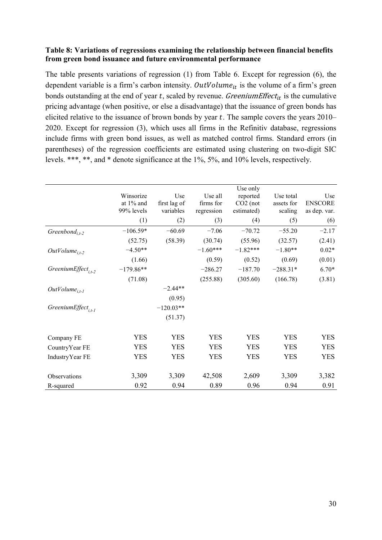# Table 8: Variations of regressions examining the relationship between financial benefits from green bond issuance and future environmental performance

The table presents variations of regression (1) from Table 6. Except for regression (6), the dependent variable is a firm's carbon intensity. OutVolume<sub>it</sub> is the volume of a firm's green bonds outstanding at the end of year  $t$ , scaled by revenue. Greenium Effect<sub>it</sub> is the cumulative pricing advantage (when positive, or else a disadvantage) that the issuance of green bonds has elicited relative to the issuance of brown bonds by year  $t$ . The sample covers the years 2010– 2020. Except for regression (3), which uses all firms in the Refinitiv database, regressions include firms with green bond issues, as well as matched control firms. Standard errors (in parentheses) of the regression coefficients are estimated using clustering on two-digit SIC levels. \*\*\*, \*\*, and \* denote significance at the 1%, 5%, and 10% levels, respectively.

|                                 | Winsorize<br>at $1\%$ and<br>99% levels<br>(1) | Use<br>first lag of<br>variables<br>(2) | Use all<br>firms for<br>regression<br>(3) | Use only<br>reported<br>$CO2$ (not<br>estimated)<br>(4) | Use total<br>assets for<br>scaling<br>(5) | Use<br><b>ENSCORE</b><br>as dep. var. |
|---------------------------------|------------------------------------------------|-----------------------------------------|-------------------------------------------|---------------------------------------------------------|-------------------------------------------|---------------------------------------|
|                                 |                                                |                                         |                                           |                                                         |                                           | (6)                                   |
| Greenbond <sub>i.t-2</sub>      | $-106.59*$                                     | $-60.69$                                | $-7.06$                                   | $-70.72$                                                | $-55.20$                                  | $-2.17$                               |
|                                 | (52.75)                                        | (58.39)                                 | (30.74)                                   | (55.96)                                                 | (32.57)                                   | (2.41)                                |
| $OutVolume_{i,t-2}$             | $-4.50**$                                      |                                         | $-1.60***$                                | $-1.82***$                                              | $-1.80**$                                 | $0.02*$                               |
|                                 | (1.66)                                         |                                         | (0.59)                                    | (0.52)                                                  | (0.69)                                    | (0.01)                                |
| GreeniumEffect <sub>i.t-2</sub> | $-179.86**$                                    |                                         | $-286.27$                                 | $-187.70$                                               | $-288.31*$                                | $6.70*$                               |
|                                 | (71.08)                                        |                                         | (255.88)                                  | (305.60)                                                | (166.78)                                  | (3.81)                                |
| $OutVolume_{i.t-I}$             |                                                | $-2.44**$                               |                                           |                                                         |                                           |                                       |
|                                 |                                                | (0.95)                                  |                                           |                                                         |                                           |                                       |
| GreeniumEffect <sub>i.t-1</sub> |                                                | $-120.03**$                             |                                           |                                                         |                                           |                                       |
|                                 |                                                | (51.37)                                 |                                           |                                                         |                                           |                                       |
| Company FE                      | <b>YES</b>                                     | <b>YES</b>                              | <b>YES</b>                                | <b>YES</b>                                              | <b>YES</b>                                | <b>YES</b>                            |
| CountryYear FE                  | <b>YES</b>                                     | <b>YES</b>                              | <b>YES</b>                                | <b>YES</b>                                              | <b>YES</b>                                | <b>YES</b>                            |
| IndustryYear FE                 | <b>YES</b>                                     | <b>YES</b>                              | <b>YES</b>                                | <b>YES</b>                                              | <b>YES</b>                                | <b>YES</b>                            |
|                                 |                                                |                                         |                                           |                                                         |                                           |                                       |
| Observations                    | 3,309                                          | 3,309                                   | 42,508                                    | 2,609                                                   | 3,309                                     | 3,382                                 |
| R-squared                       | 0.92                                           | 0.94                                    | 0.89                                      | 0.96                                                    | 0.94                                      | 0.91                                  |